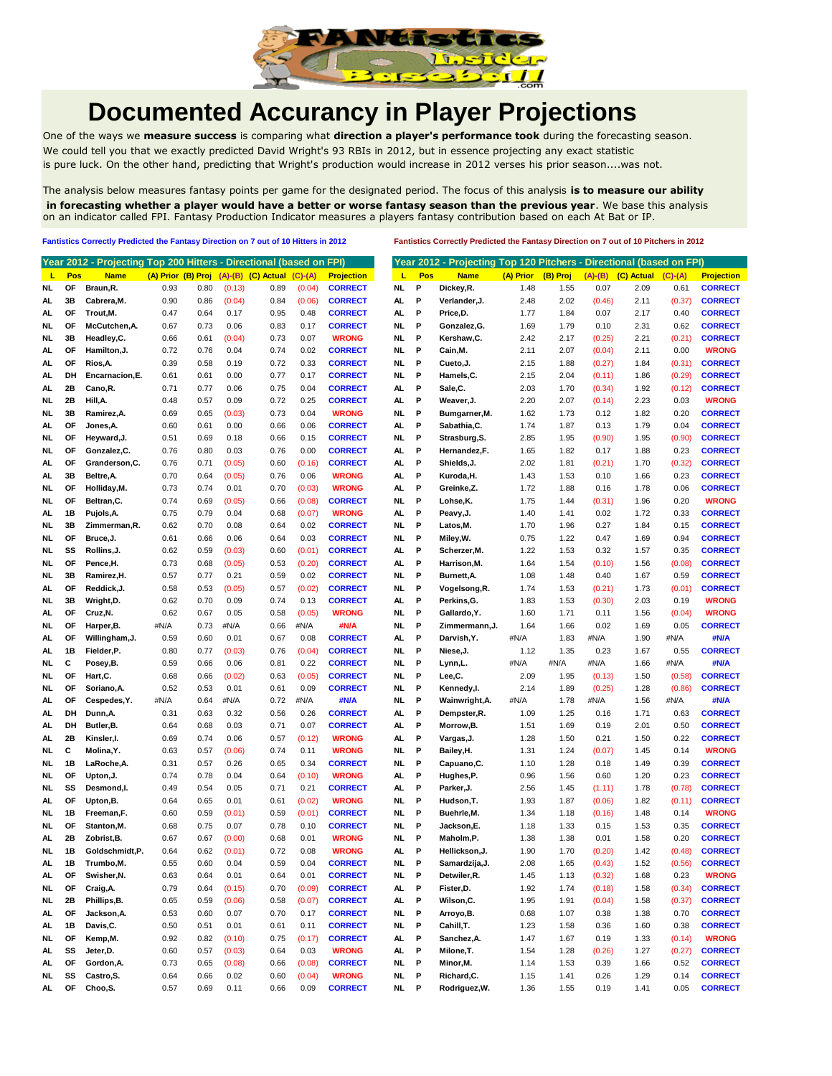

## **Documented Accurancy in Player Projections**

One of the ways we **measure success** is comparing what **direction a player's performance took** during the forecasting season. We could tell you that we exactly predicted David Wright's 93 RBIs in 2012, but in essence projecting any exact statistic is pure luck. On the other hand, predicting that Wright's production would increase in 2012 verses his prior season....was not.

The analysis below measures fantasy points per game for the designated period. The focus of this analysis **is to measure our ability in forecasting whether a player would have a better or worse fantasy season than the previous year**. We base this analysis on an indicator called FPI. Fantasy Production Indicator measures a players fantasy contribution based on each At Bat or IP.

**Fantistics Correctly Predicted the Fantasy Direction on 7 out of 10 Hitters in 2012 Fantistics Correctly Predicted the Fantasy Direction on 7 out of 10 Pitchers in 2012**

|           |           | Year 2012 - Projecting Top 200 Hitters - Directional (based on FPI) |                    |      |        |                            |           |                   |                |                |           |          |           |            | Year 2012 - Projecting Top 120 Pitchers - Directional (based on FPI) |
|-----------|-----------|---------------------------------------------------------------------|--------------------|------|--------|----------------------------|-----------|-------------------|----------------|----------------|-----------|----------|-----------|------------|----------------------------------------------------------------------|
| ц         | Pos       | <b>Name</b>                                                         | (A) Prior (B) Proj |      |        | $(A)$ - $(B)$ $(C)$ Actual | $(C)-(A)$ | <b>Projection</b> | Pos<br>ш       | <b>Name</b>    | (A) Prior | (B) Proj | $(A)-(B)$ | (C) Actual | $(C)-(A)$                                                            |
| NL        | ΟF        | Braun, R.                                                           | 0.93               | 0.80 | (0.13) | 0.89                       | (0.04)    | <b>CORRECT</b>    | NL.<br>P       | Dickey,R.      | 1.48      | 1.55     | 0.07      | 2.09       | 0.61                                                                 |
| AL        | 3В        | Cabrera.M.                                                          | 0.90               | 0.86 | (0.04) | 0.84                       | (0.06)    | <b>CORRECT</b>    | P<br>AL        | Verlander, J.  | 2.48      | 2.02     | (0.46)    | 2.11       | (0.37)                                                               |
| AL        | <b>OF</b> | Trout, M.                                                           | 0.47               | 0.64 | 0.17   | 0.95                       | 0.48      | <b>CORRECT</b>    | AL<br>P        | Price,D.       | 1.77      | 1.84     | 0.07      | 2.17       | 0.40                                                                 |
| NL        | OF        | McCutchen, A.                                                       | 0.67               | 0.73 | 0.06   | 0.83                       | 0.17      | <b>CORRECT</b>    | P<br>NL        | Gonzalez, G.   | 1.69      | 1.79     | 0.10      | 2.31       | 0.62                                                                 |
| NL        | 3B        | Headley, C.                                                         | 0.66               | 0.61 | (0.04) | 0.73                       | 0.07      | <b>WRONG</b>      | P<br>NL        | Kershaw,C.     | 2.42      | 2.17     | (0.25)    | 2.21       | (0.21)                                                               |
| AL.       | ΟF        | Hamilton, J.                                                        | 0.72               | 0.76 | 0.04   | 0.74                       | 0.02      | <b>CORRECT</b>    | NL<br>P        | Cain,M.        | 2.11      | 2.07     | (0.04)    | 2.11       | 0.00                                                                 |
| AL.       | ΟF        | Rios,A                                                              | 0.39               | 0.58 | 0.19   | 0.72                       | 0.33      | <b>CORRECT</b>    | P<br>NL        | Cueto, J.      | 2.15      | 1.88     | (0.27)    | 1.84       | (0.31)                                                               |
| AL.       | DH        | Encarnacion, E.                                                     | 0.61               | 0.61 | 0.00   | 0.77                       | 0.17      | <b>CORRECT</b>    | P<br>NL        | Hamels,C.      | 2.15      | 2.04     | (0.11)    | 1.86       | (0.29)                                                               |
| AL        | 2Β        | Cano, R.                                                            | 0.71               | 0.77 | 0.06   | 0.75                       | 0.04      | <b>CORRECT</b>    | AL<br>Р        | Sale,C.        | 2.03      | 1.70     | (0.34)    | 1.92       | (0.12)                                                               |
| NL        | 2B        | Hill,A.                                                             | 0.48               | 0.57 | 0.09   | 0.72                       | 0.25      | <b>CORRECT</b>    | P<br>AL.       | Weaver, J.     | 2.20      | 2.07     | (0.14)    | 2.23       | 0.03                                                                 |
| NL        | 3B        | Ramirez, A.                                                         | 0.69               | 0.65 | (0.03) | 0.73                       | 0.04      | <b>WRONG</b>      | P<br>NL        | Bumgarner, M.  | 1.62      | 1.73     | 0.12      | 1.82       | 0.20                                                                 |
| AL        | OF        | Jones,A.                                                            | 0.60               | 0.61 | 0.00   | 0.66                       | 0.06      | <b>CORRECT</b>    | AL<br>Р        | Sabathia, C.   | 1.74      | 1.87     | 0.13      | 1.79       | 0.04                                                                 |
| NL        | OF        | Heyward, J.                                                         | 0.51               | 0.69 | 0.18   | 0.66                       | 0.15      | <b>CORRECT</b>    | P<br>NL        | Strasburg, S.  | 2.85      | 1.95     | (0.90)    | 1.95       | (0.90)                                                               |
| NL        | OF        | Gonzalez, C.                                                        | 0.76               | 0.80 | 0.03   | 0.76                       | 0.00      | <b>CORRECT</b>    | P<br>AL        | Hernandez,F.   | 1.65      | 1.82     | 0.17      | 1.88       | 0.23                                                                 |
| AL.       | ΟF        | Granderson, C.                                                      | 0.76               | 0.71 | (0.05) | 0.60                       | (0.16)    | <b>CORRECT</b>    | P<br>AL.       | Shields,J.     | 2.02      | 1.81     | (0.21)    | 1.70       | (0.32)                                                               |
| AL        | 3B        | Beltre, A.                                                          | 0.70               | 0.64 | (0.05) | 0.76                       | 0.06      | <b>WRONG</b>      | AL<br>P        | Kuroda,H.      | 1.43      | 1.53     | 0.10      | 1.66       | 0.23                                                                 |
| NL        | <b>OF</b> | Holliday, M.                                                        | 0.73               | 0.74 | 0.01   | 0.70                       | (0.03)    | <b>WRONG</b>      | AL.<br>P       | Greinke,Z.     | 1.72      | 1.88     | 0.16      | 1.78       | 0.06                                                                 |
| NL        | ΟF        | Beltran, C.                                                         | 0.74               | 0.69 | (0.05) | 0.66                       | (0.08)    | <b>CORRECT</b>    | P<br>NL        | Lohse,K.       | 1.75      | 1.44     | (0.31)    | 1.96       | 0.20                                                                 |
| AL        | 1B        | Pujols, A.                                                          | 0.75               | 0.79 | 0.04   | 0.68                       | (0.07)    | <b>WRONG</b>      | AL.<br>Р       | Peavy, J.      | 1.40      | 1.41     | 0.02      | 1.72       | 0.33                                                                 |
| NL.       | 3B        | Zimmerman, R.                                                       | 0.62               | 0.70 | 0.08   | 0.64                       | 0.02      | <b>CORRECT</b>    | P<br>NL        | Latos,M.       | 1.70      | 1.96     | 0.27      | 1.84       | 0.15                                                                 |
| NL        | ΟF        | Bruce, J.                                                           | 0.61               | 0.66 | 0.06   | 0.64                       | 0.03      | <b>CORRECT</b>    | P<br>NL        | Miley, W.      | 0.75      | 1.22     | 0.47      | 1.69       | 0.94                                                                 |
| NL.       | SS        | Rollins.J.                                                          | 0.62               | 0.59 | (0.03) | 0.60                       | (0.01)    | <b>CORRECT</b>    | P<br>AL.       | Scherzer, M.   | 1.22      | 1.53     | 0.32      | 1.57       | 0.35                                                                 |
| NL        | ΟF        | Pence,H.                                                            | 0.73               | 0.68 | (0.05) | 0.53                       | (0.20)    | <b>CORRECT</b>    | P<br>AL.       | Harrison.M.    | 1.64      | 1.54     | (0.10)    | 1.56       | (0.08)                                                               |
| NL        | 3B        | Ramirez,H.                                                          | 0.57               | 0.77 | 0.21   | 0.59                       | 0.02      | <b>CORRECT</b>    | P<br>NL        | Burnett, A.    | 1.08      | 1.48     | 0.40      | 1.67       | 0.59                                                                 |
| AL.       | <b>OF</b> | Reddick, J.                                                         | 0.58               | 0.53 | (0.05) | 0.57                       | (0.02)    | <b>CORRECT</b>    | P<br>NL        | Vogelsong, R.  | 1.74      | 1.53     | (0.21)    | 1.73       | (0.01)                                                               |
| NL        | 3B        | Wright, D.                                                          | 0.62               | 0.70 | 0.09   | 0.74                       | 0.13      | <b>CORRECT</b>    | AL<br>P        | Perkins, G.    | 1.83      | 1.53     | (0.30)    | 2.03       | 0.19                                                                 |
| AL.       | ΟF        | Cruz, N.                                                            | 0.62               | 0.67 | 0.05   | 0.58                       | (0.05)    | <b>WRONG</b>      | NL<br>Р        | Gallardo, Y.   | 1.60      | 1.71     | 0.11      | 1.56       | (0.04)                                                               |
| NL        | OF        | Harper, B.                                                          | #N/A               | 0.73 | #N/A   | 0.66                       | #N/A      | #N/A              | P<br>NL        | Zimmermann,J.  | 1.64      | 1.66     | 0.02      | 1.69       | 0.05                                                                 |
| AL        | ΟF        | Willingham, J.                                                      | 0.59               | 0.60 | 0.01   | 0.67                       | 0.08      | <b>CORRECT</b>    | P<br>AL        | Darvish, Y.    | #N/A      | 1.83     | #N/A      | 1.90       | #N/A                                                                 |
| AL.       | 1B        | Fielder, P.                                                         | 0.80               | 0.77 | (0.03) | 0.76                       | (0.04)    | <b>CORRECT</b>    | NL<br>Р        | Niese,J.       | 1.12      | 1.35     | 0.23      | 1.67       | 0.55                                                                 |
| NL        | С         | Posey,B.                                                            | 0.59               | 0.66 | 0.06   | 0.81                       | 0.22      | <b>CORRECT</b>    | NL<br>P        | Lynn,L.        | #N/A      | #N/A     | #N/A      | 1.66       | #N/A                                                                 |
|           | <b>OF</b> | Hart, C.                                                            | 0.68               | 0.66 |        | 0.63                       | (0.05)    | <b>CORRECT</b>    | P<br>NL        | Lee,C.         | 2.09      | 1.95     |           | 1.50       |                                                                      |
| NL        |           |                                                                     |                    |      | (0.02) |                            |           |                   |                |                |           |          | (0.13)    |            | (0.58)                                                               |
| NL        | OF        | Soriano, A.                                                         | 0.52               | 0.53 | 0.01   | 0.61                       | 0.09      | <b>CORRECT</b>    | P<br>NL        | Kennedy,I.     | 2.14      | 1.89     | (0.25)    | 1.28       | (0.86)                                                               |
| AL.       | <b>OF</b> | Cespedes, Y.                                                        | #N/A               | 0.64 | #N/A   | 0.72                       | #N/A      | #N/A              | P<br>NL        | Wainwright, A. | #N/A      | 1.78     | #N/A      | 1.56       | #N/A                                                                 |
| AL.       | DH        | Dunn, A.                                                            | 0.31               | 0.63 | 0.32   | 0.56                       | 0.26      | <b>CORRECT</b>    | P<br>AL        | Dempster,R.    | 1.09      | 1.25     | 0.16      | 1.71       | 0.63                                                                 |
| AL.       | DH        | Butler, B.                                                          | 0.64               | 0.68 | 0.03   | 0.71                       | 0.07      | <b>CORRECT</b>    | P<br>AL.       | Morrow, B.     | 1.51      | 1.69     | 0.19      | 2.01       | 0.50                                                                 |
| AL        | 2Β        | Kinsler,I.                                                          | 0.69               | 0.74 | 0.06   | 0.57                       | (0.12)    | <b>WRONG</b>      | P<br>AL.       | Vargas,J.      | 1.28      | 1.50     | 0.21      | 1.50       | 0.22                                                                 |
| NL.       | С         | Molina, Y.                                                          | 0.63               | 0.57 | (0.06) | 0.74                       | 0.11      | <b>WRONG</b>      | P<br>NL        | Bailey, H.     | 1.31      | 1.24     | (0.07)    | 1.45       | 0.14                                                                 |
| NL        | 1B        | LaRoche, A.                                                         | 0.31               | 0.57 | 0.26   | 0.65                       | 0.34      | <b>CORRECT</b>    | NL<br>Р        | Capuano,C.     | 1.10      | 1.28     | 0.18      | 1.49       | 0.39                                                                 |
| NL        | <b>OF</b> | Upton, J.                                                           | 0.74               | 0.78 | 0.04   | 0.64                       | (0.10)    | <b>WRONG</b>      | AL.<br>Р       | Hughes,P.      | 0.96      | 1.56     | 0.60      | 1.20       | 0.23                                                                 |
| NL        | SS        | Desmond,I.                                                          | 0.49               | 0.54 | 0.05   | 0.71                       | 0.21      | <b>CORRECT</b>    | AL<br>P        | Parker, J.     | 2.56      | 1.45     | (1.11)    | 1.78       | (0.78)                                                               |
| AL.       | OF        | Upton,B.                                                            | 0.64               | 0.65 | 0.01   | 0.61                       | (0.02)    | <b>WRONG</b>      | NL<br>P        | Hudson, T.     | 1.93      | 1.87     | (0.06)    | 1.82       | (0.11)                                                               |
| NL        | 1В        | Freeman,F.                                                          | 0.60               | 0.59 | (0.01) | 0.59                       | (0.01)    | <b>CORRECT</b>    | P<br>NL        | Buehrle,M.     | 1.34      | 1.18     | (0.16)    | 1.48       | 0.14                                                                 |
| NL.       | ΟF        | Stanton, M.                                                         | 0.68               | 0.75 | 0.07   | 0.78                       | 0.10      | <b>CORRECT</b>    | NL<br>Р        | Jackson,E.     | 1.18      | 1.33     | 0.15      | 1.53       | 0.35                                                                 |
| AL.       | 2Β        | Zobrist, B.                                                         | 0.67               | 0.67 | (0.00) | 0.68                       | 0.01      | <b>WRONG</b>      | NL<br>Ρ        | Maholm.P.      | 1.38      | 1.38     | 0.01      | 1.58       | 0.20                                                                 |
| NL.       | 1B        | Goldschmidt,P.                                                      | 0.64               | 0.62 | (0.01) | 0.72                       | 0.08      | <b>WRONG</b>      | P<br>AL        | Hellickson, J. | 1.90      | 1.70     | (0.20)    | 1.42       | (0.48)                                                               |
| AL.       | 1B        | Trumbo,M.                                                           | 0.55               | 0.60 | 0.04   | 0.59                       | 0.04      | <b>CORRECT</b>    | P<br>NL        | Samardzija,J.  | 2.08      | 1.65     | (0.43)    | 1.52       | (0.56)                                                               |
| AL.       | ОF        | Swisher, N.                                                         | 0.63               | 0.64 | 0.01   | 0.64                       | 0.01      | <b>CORRECT</b>    | NL<br>- P      | Detwiler, R.   | 1.45      | 1.13     | (0.32)    | 1.68       | 0.23                                                                 |
| <b>NL</b> | OF        | Craig, A.                                                           | 0.79               | 0.64 | (0.15) | 0.70                       | (0.09)    | <b>CORRECT</b>    | AL.<br>P       | Fister, D.     | 1.92      | 1.74     | (0.18)    | 1.58       | (0.34)                                                               |
| NL        | 2B        | Phillips, B.                                                        | 0.65               | 0.59 | (0.06) | 0.58                       | (0.07)    | <b>CORRECT</b>    | AL.<br>P       | Wilson, C.     | 1.95      | 1.91     | (0.04)    | 1.58       | (0.37)                                                               |
| AL.       | OF        | Jackson, A.                                                         | 0.53               | 0.60 | 0.07   | 0.70                       | 0.17      | <b>CORRECT</b>    | <b>NL</b><br>P | Arroyo, B.     | 0.68      | 1.07     | 0.38      | 1.38       | 0.70                                                                 |
| AL.       | 1B        | Davis, C.                                                           | 0.50               | 0.51 | 0.01   | 0.61                       | 0.11      | <b>CORRECT</b>    | P<br>NL        | Cahill, T.     | 1.23      | 1.58     | 0.36      | 1.60       | 0.38                                                                 |
| NL.       | OF        | Kemp,M.                                                             | 0.92               | 0.82 | (0.10) | 0.75                       | (0.17)    | <b>CORRECT</b>    | AL.<br>P       | Sanchez, A.    | 1.47      | 1.67     | 0.19      | 1.33       | (0.14)                                                               |
| AL.       | SS        | Jeter, D.                                                           | 0.60               | 0.57 | (0.03) | 0.64                       | 0.03      | <b>WRONG</b>      | AL.<br>P       | Milone, T.     | 1.54      | 1.28     | (0.26)    | 1.27       | (0.27)                                                               |
| AL.       | OF        | Gordon, A.                                                          | 0.73               | 0.65 | (0.08) | 0.66                       | (0.08)    | <b>CORRECT</b>    | <b>NL</b><br>P | Minor, M.      | 1.14      | 1.53     | 0.39      | 1.66       | 0.52                                                                 |
| NL.       | SS        | Castro, S.                                                          | 0.64               | 0.66 | 0.02   | 0.60                       | (0.04)    | <b>WRONG</b>      | <b>NL</b><br>P | Richard, C.    | 1.15      | 1.41     | 0.26      | 1.29       | 0.14                                                                 |
| AL.       | OF        | Choo,S.                                                             | 0.57               | 0.69 | 0.11   | 0.66                       | 0.09      | <b>CORRECT</b>    | NL P           | Rodriauez.W.   | 1.36      | 1.55     | 0.19      | 1.41       | 0.05                                                                 |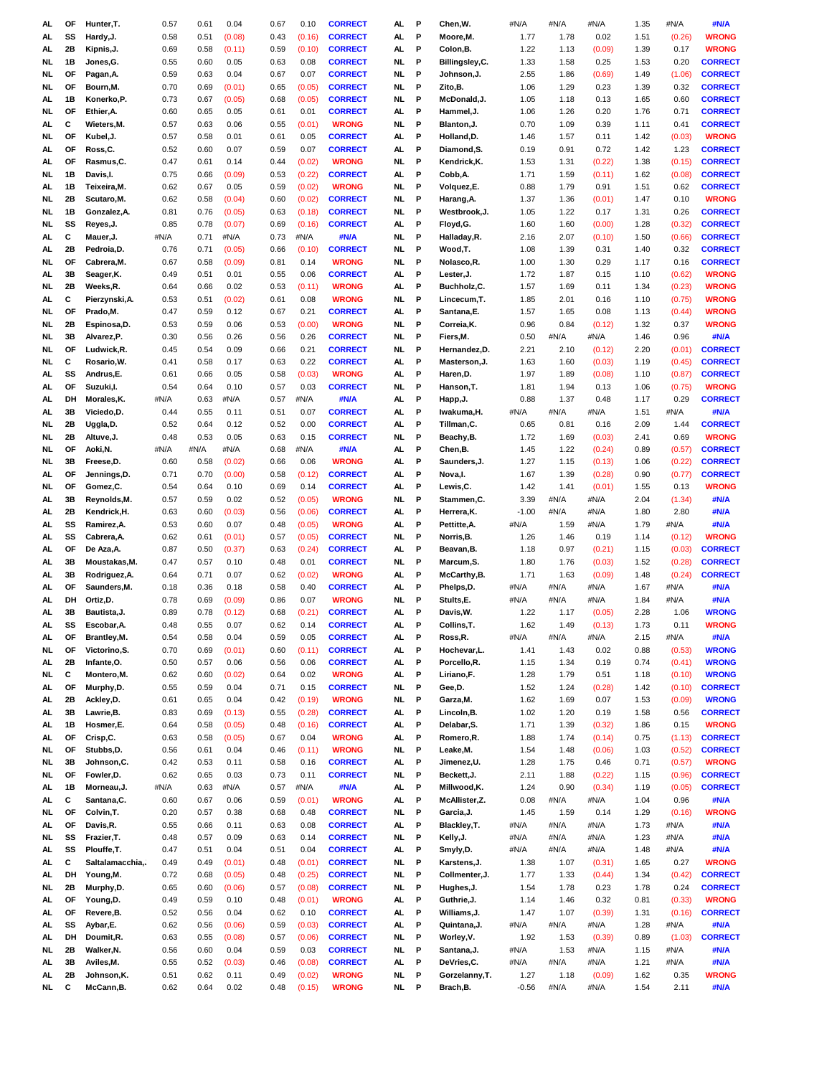| AL        | OF        | Hunter, T.                | 0.57         | 0.61         | 0.04             | 0.67         | 0.10             | <b>CORRECT</b>               | AL        | P      | Chen, W.                    | #N/A            | #N/A         | #N/A             | 1.35         | #N/A         | #N/A                 |
|-----------|-----------|---------------------------|--------------|--------------|------------------|--------------|------------------|------------------------------|-----------|--------|-----------------------------|-----------------|--------------|------------------|--------------|--------------|----------------------|
| AL.       | SS        | Hardy, J.                 | 0.58         | 0.51         | (0.08)           | 0.43         | (0.16)           | <b>CORRECT</b>               | AL        | P      | Moore, M.                   | 1.77            | 1.78         | 0.02             | 1.51         | (0.26)       | <b>WRONG</b>         |
| AL        | 2Β        | Kipnis, J.                | 0.69         | 0.58         | (0.11)           | 0.59         | (0.10)           | <b>CORRECT</b>               | AL        | P      | Colon, B.                   | 1.22            | 1.13         | (0.09)           | 1.39         | 0.17         | <b>WRONG</b>         |
| NL        | 1B        | Jones, G.                 | 0.55         | 0.60         | 0.05             | 0.63         | 0.08             | <b>CORRECT</b>               | NL        | P      | Billingsley, C.             | 1.33            | 1.58         | 0.25             | 1.53         | 0.20         | <b>CORRECT</b>       |
| NL        | OF        | Pagan, A.                 | 0.59         | 0.63         | 0.04             | 0.67         | 0.07             | <b>CORRECT</b>               | NL.       | P      | Johnson,J.                  | 2.55            | 1.86         | (0.69)           | 1.49         | (1.06)       | <b>CORRECT</b>       |
|           |           |                           |              |              |                  |              |                  |                              |           |        |                             |                 |              |                  |              |              |                      |
| NL        | OF        | Bourn, M.                 | 0.70         | 0.69         | (0.01)           | 0.65         | (0.05)           | <b>CORRECT</b>               | NL        | P      | Zito,B.                     | 1.06            | 1.29         | 0.23             | 1.39         | 0.32         | <b>CORRECT</b>       |
| AL.       | 1B        | Konerko, P.               | 0.73         | 0.67         | (0.05)           | 0.68         | (0.05)           | <b>CORRECT</b>               | NL.       | P      | McDonald, J.                | 1.05            | 1.18         | 0.13             | 1.65         | 0.60         | <b>CORRECT</b>       |
| NL        | OF        | Ethier, A.                | 0.60         | 0.65         | 0.05             | 0.61         | 0.01             | <b>CORRECT</b>               | AL.       | P      | Hammel, J.                  | 1.06            | 1.26         | 0.20             | 1.76         | 0.71         | <b>CORRECT</b>       |
| AL.       | С         | Wieters, M.               | 0.57         | 0.63         | 0.06             | 0.55         | (0.01)           | <b>WRONG</b>                 | NL.       | P      | Blanton, J.                 | 0.70            | 1.09         | 0.39             | 1.11         | 0.41         | <b>CORRECT</b>       |
| NL        | ΟF        | Kubel, J.                 | 0.57         | 0.58         | 0.01             | 0.61         | 0.05             | <b>CORRECT</b>               | AL        | P      | Holland, D.                 | 1.46            | 1.57         | 0.11             | 1.42         | (0.03)       | <b>WRONG</b>         |
| AL        | <b>OF</b> | Ross,C.                   | 0.52         | 0.60         | 0.07             | 0.59         | 0.07             | <b>CORRECT</b>               | AL        | P      | Diamond, S.                 | 0.19            | 0.91         | 0.72             | 1.42         | 1.23         | <b>CORRECT</b>       |
| AL        | OF        | Rasmus, C.                | 0.47         | 0.61         | 0.14             | 0.44         | (0.02)           | <b>WRONG</b>                 | NL        | P      | Kendrick, K.                | 1.53            | 1.31         | (0.22)           | 1.38         | (0.15)       | <b>CORRECT</b>       |
| NL.       | 1B        | Davis, I.                 | 0.75         | 0.66         | (0.09)           | 0.53         | (0.22)           | <b>CORRECT</b>               | AL.       | P      | Cobb, A.                    | 1.71            | 1.59         | (0.11)           | 1.62         | (0.08)       | <b>CORRECT</b>       |
|           |           |                           |              |              |                  |              |                  |                              | NL        | P      |                             |                 |              |                  |              |              | <b>CORRECT</b>       |
| AL.       | 1B        | Teixeira, M.              | 0.62         | 0.67         | 0.05             | 0.59         | (0.02)           | <b>WRONG</b>                 |           |        | Volquez,E.                  | 0.88            | 1.79         | 0.91             | 1.51         | 0.62         |                      |
| NL        | 2Β        | Scutaro, M.               | 0.62         | 0.58         | (0.04)           | 0.60         | (0.02)           | <b>CORRECT</b>               | NL.       | P      | Harang, A.                  | 1.37            | 1.36         | (0.01)           | 1.47         | 0.10         | <b>WRONG</b>         |
| NL        | 1B        | Gonzalez, A.              | 0.81         | 0.76         | (0.05)           | 0.63         | (0.18)           | <b>CORRECT</b>               | NL.       | P      | Westbrook, J.               | 1.05            | 1.22         | 0.17             | 1.31         | 0.26         | <b>CORRECT</b>       |
| NL        | SS        | Reyes, J.                 | 0.85         | 0.78         | (0.07)           | 0.69         | (0.16)           | <b>CORRECT</b>               | AL        | P      | Floyd, G.                   | 1.60            | 1.60         | (0.00)           | 1.28         | (0.32)       | <b>CORRECT</b>       |
| AL        | с         | Mauer, J.                 | #N/A         | 0.71         | #N/A             | 0.73         | #N/A             | #N/A                         | NL.       | P      | Halladay, R.                | 2.16            | 2.07         | (0.10)           | 1.50         | (0.66)       | <b>CORRECT</b>       |
| AL        | 2B        | Pedroia,D.                | 0.76         | 0.71         | (0.05)           | 0.66         | (0.10)           | <b>CORRECT</b>               | NL        | P      | Wood,T.                     | 1.08            | 1.39         | 0.31             | 1.40         | 0.32         | <b>CORRECT</b>       |
| NL        | OF        | Cabrera, M.               | 0.67         | 0.58         | (0.09)           | 0.81         | 0.14             | <b>WRONG</b>                 | NL.       | P      | Nolasco, R.                 | 1.00            | 1.30         | 0.29             | 1.17         | 0.16         | <b>CORRECT</b>       |
|           | 3B        |                           |              | 0.51         |                  | 0.55         | 0.06             | <b>CORRECT</b>               | AL        | P      |                             | 1.72            | 1.87         | 0.15             | 1.10         | (0.62)       | <b>WRONG</b>         |
| AL        |           | Seager, K.                | 0.49         |              | 0.01             |              |                  |                              |           |        | Lester, J.                  |                 |              |                  |              |              |                      |
| NL        | 2Β        | Weeks,R.                  | 0.64         | 0.66         | 0.02             | 0.53         | (0.11)           | <b>WRONG</b>                 | AL.       | P      | Buchholz,C.                 | 1.57            | 1.69         | 0.11             | 1.34         | (0.23)       | <b>WRONG</b>         |
| AL.       | С         | Pierzynski, A.            | 0.53         | 0.51         | (0.02)           | 0.61         | 0.08             | <b>WRONG</b>                 | NL.       | P      | Lincecum, T.                | 1.85            | 2.01         | 0.16             | 1.10         | (0.75)       | <b>WRONG</b>         |
| NL        | ΟF        | Prado, M.                 | 0.47         | 0.59         | 0.12             | 0.67         | 0.21             | <b>CORRECT</b>               | AL.       | P      | Santana, E.                 | 1.57            | 1.65         | 0.08             | 1.13         | (0.44)       | <b>WRONG</b>         |
| NL        | 2Β        | Espinosa, D.              | 0.53         | 0.59         | 0.06             | 0.53         | (0.00)           | <b>WRONG</b>                 | NL.       | P      | Correia, K.                 | 0.96            | 0.84         | (0.12)           | 1.32         | 0.37         | <b>WRONG</b>         |
| NL        | 3B        | Alvarez, P.               | 0.30         | 0.56         | 0.26             | 0.56         | 0.26             | <b>CORRECT</b>               | NL.       | P      | Fiers, M.                   | 0.50            | #N/A         | #N/A             | 1.46         | 0.96         | #N/A                 |
| NL        | OF        | Ludwick,R.                | 0.45         | 0.54         | 0.09             | 0.66         | 0.21             | <b>CORRECT</b>               | NL.       | P      | Hernandez, D.               | 2.21            | 2.10         | (0.12)           | 2.20         | (0.01)       | <b>CORRECT</b>       |
| NL.       | С         | Rosario, W.               | 0.41         | 0.58         | 0.17             | 0.63         | 0.22             | <b>CORRECT</b>               | AL.       | P      | Masterson, J.               | 1.63            | 1.60         | (0.03)           | 1.19         | (0.45)       | <b>CORRECT</b>       |
| AL        | SS        | Andrus,E.                 | 0.61         | 0.66         | 0.05             | 0.58         | (0.03)           | <b>WRONG</b>                 | AL        | P      | Haren, D.                   | 1.97            | 1.89         | (0.08)           | 1.10         | (0.87)       | <b>CORRECT</b>       |
|           | ΟF        |                           | 0.54         |              |                  |              | 0.03             | <b>CORRECT</b>               | NL.       | P      |                             |                 | 1.94         |                  |              |              | <b>WRONG</b>         |
| AL        |           | Suzuki, I.                |              | 0.64         | 0.10             | 0.57         |                  |                              |           |        | Hanson, T.                  | 1.81            |              | 0.13             | 1.06         | (0.75)       |                      |
| AL        | DH        | Morales, K.               | #N/A         | 0.63         | #N/A             | 0.57         | #N/A             | #N/A                         | AL        | P      | Happ, J.                    | 0.88            | 1.37         | 0.48             | 1.17         | 0.29         | <b>CORRECT</b>       |
| AL        | 3B        | Viciedo, D.               | 0.44         | 0.55         | 0.11             | 0.51         | 0.07             | <b>CORRECT</b>               | AL        | P      | Iwakuma, H.                 | #N/A            | #N/A         | #N/A             | 1.51         | #N/A         | #N/A                 |
| NL        | 2Β        | Uggla, D.                 | 0.52         | 0.64         | 0.12             | 0.52         | 0.00             | <b>CORRECT</b>               | AL        | P      | Tillman,C.                  | 0.65            | 0.81         | 0.16             | 2.09         | 1.44         | <b>CORRECT</b>       |
| NL        | 2Β        | Altuve, J.                | 0.48         | 0.53         | 0.05             | 0.63         | 0.15             | <b>CORRECT</b>               | NL        | P      | Beachy, B.                  | 1.72            | 1.69         | (0.03)           | 2.41         | 0.69         | <b>WRONG</b>         |
| NL        | OF        | Aoki, N.                  | #N/A         | #N/A         | #N/A             | 0.68         | #N/A             | #N/A                         | AL        | P      | Chen,B.                     | 1.45            | 1.22         | (0.24)           | 0.89         | (0.57)       | <b>CORRECT</b>       |
| NL        | 3B        | Freese, D.                | 0.60         | 0.58         | (0.02)           | 0.66         | 0.06             | <b>WRONG</b>                 | AL        | P      | Saunders, J.                | 1.27            | 1.15         | (0.13)           | 1.06         | (0.22)       | <b>CORRECT</b>       |
| AL.       | ΟF        | Jennings,D.               | 0.71         | 0.70         | (0.00)           | 0.58         | (0.12)           | <b>CORRECT</b>               | AL.       | P      | Nova, I.                    | 1.67            | 1.39         | (0.28)           | 0.90         | (0.77)       | <b>CORRECT</b>       |
| NL        | OF        | Gomez, C.                 | 0.54         | 0.64         | 0.10             | 0.69         | 0.14             | <b>CORRECT</b>               | AL.       | P      | Lewis, C.                   | 1.42            | 1.41         | (0.01)           | 1.55         | 0.13         | <b>WRONG</b>         |
|           |           |                           |              |              |                  |              |                  |                              |           |        |                             |                 |              |                  |              |              |                      |
| AL        | 3B        | Reynolds, M.              | 0.57         | 0.59         | 0.02             | 0.52         | (0.05)           | <b>WRONG</b>                 | NL.       | P      | Stammen, C.                 | 3.39            | #N/A         | #N/A             | 2.04         | (1.34)       | #N/A                 |
| AL        | 2Β        | Kendrick, H.              | 0.63         | 0.60         | (0.03)           | 0.56         | (0.06)           | <b>CORRECT</b>               | AL        | P      | Herrera, K.                 | $-1.00$         | #N/A         | #N/A             | 1.80         | 2.80         | #N/A                 |
| AL        | SS        | Ramirez, A.               | 0.53         | 0.60         | 0.07             | 0.48         | (0.05)           | <b>WRONG</b>                 | AL        | P      | Pettitte, A.                | #N/A            | 1.59         | #N/A             | 1.79         | #N/A         | #N/A                 |
| AL        | SS        | Cabrera, A.               | 0.62         | 0.61         | (0.01)           | 0.57         | (0.05)           | <b>CORRECT</b>               | NL.       | P      | Norris, B.                  | 1.26            | 1.46         | 0.19             | 1.14         | (0.12)       | <b>WRONG</b>         |
| AL        | OF        | De Aza, A.                | 0.87         | 0.50         | (0.37)           | 0.63         | (0.24)           | <b>CORRECT</b>               | AL.       | P      | Beavan, B.                  | 1.18            | 0.97         | (0.21)           | 1.15         | (0.03)       | <b>CORRECT</b>       |
| AL        | 3B        | Moustakas, M.             | 0.47         | 0.57         | 0.10             | 0.48         | 0.01             | <b>CORRECT</b>               | NL.       | P      | Marcum, S.                  | 1.80            | 1.76         | (0.03)           | 1.52         | (0.28)       | <b>CORRECT</b>       |
| AL        | 3B        | Rodriguez, A.             | 0.64         | 0.71         | 0.07             | 0.62         | (0.02)           | <b>WRONG</b>                 | AL        | P      | McCarthy, B.                | 1.71            | 1.63         | (0.09)           | 1.48         | (0.24)       | <b>CORRECT</b>       |
| AL        | OF        | Saunders, M.              | 0.18         | 0.36         | 0.18             | 0.58         | 0.40             | <b>CORRECT</b>               | AL        | P      | Phelps,D.                   | #N/A            | #N/A         | #N/A             | 1.67         | #N/A         | #N/A                 |
| AL.       | DH        | Ortiz, D.                 | 0.78         | 0.69         | (0.09)           | 0.86         | 0.07             | <b>WRONG</b>                 | NL.       | P      | Stults,E.                   | #N/A            | #N/A         | #N/A             | 1.84         | #N/A         | #N/A                 |
|           |           |                           |              |              |                  |              |                  | <b>CORRECT</b>               |           | P      |                             | 1.22            |              |                  |              |              |                      |
| AL        | 3B        | Bautista, J.              | 0.89         | 0.78         | (0.12)           | 0.68         | (0.21)           |                              | AL.       |        | Davis, W.                   |                 | 1.17         | (0.05)           | 2.28         | 1.06         | <b>WRONG</b>         |
| AL.       | SS        | Escobar, A.               | 0.48         | 0.55         | 0.07             | 0.62         | 0.14             | <b>CORRECT</b>               | AL.       | P      | Collins, T.                 | 1.62            | 1.49         | (0.13)           | 1.73         | 0.11         | <b>WRONG</b>         |
| AL        | OF        | Brantley, M.              | 0.54         | 0.58         | 0.04             | 0.59         | 0.05             | <b>CORRECT</b>               | AL.       | P      | Ross,R.                     | #N/A            | #N/A         | #N/A             | 2.15         | #N/A         | #N/A                 |
| NL.       | OF        | Victorino, S.             | 0.70         | 0.69         | (0.01)           | 0.60         | (0.11)           | <b>CORRECT</b>               | AL.       | P      | Hochevar,L.                 | 1.41            | 1.43         | 0.02             | 0.88         | (0.53)       | <b>WRONG</b>         |
| AL        | 2Β        | Infante, O.               | 0.50         | 0.57         | 0.06             | 0.56         | 0.06             | <b>CORRECT</b>               | AL.       | P      | Porcello,R.                 | 1.15            | 1.34         | 0.19             | 0.74         | (0.41)       | <b>WRONG</b>         |
| NL.       | С         | Montero, M.               | 0.62         | 0.60         | (0.02)           | 0.64         | 0.02             | <b>WRONG</b>                 | AL        | P      | Liriano,F.                  | 1.28            | 1.79         | 0.51             | 1.18         | (0.10)       | <b>WRONG</b>         |
| AL        | OF        | Murphy,D.                 | 0.55         | 0.59         | 0.04             | 0.71         | 0.15             | <b>CORRECT</b>               | <b>NL</b> | P      | Gee, D.                     | 1.52            | 1.24         | (0.28)           | 1.42         | (0.10)       | <b>CORRECT</b>       |
| AL        | 2Β        | Ackley, D.                | 0.61         | 0.65         | 0.04             | 0.42         | (0.19)           | <b>WRONG</b>                 | NL.       | P      | Garza, M.                   | 1.62            | 1.69         | 0.07             | 1.53         | (0.09)       | <b>WRONG</b>         |
| AL        | 3B        | Lawrie, B.                | 0.83         | 0.69         | (0.13)           | 0.55         | (0.28)           | <b>CORRECT</b>               | AL.       | P      | Lincoln, B.                 | 1.02            | 1.20         | 0.19             | 1.58         | 0.56         | <b>CORRECT</b>       |
|           | 1B        | Hosmer,E.                 | 0.64         |              |                  | 0.48         | (0.16)           | <b>CORRECT</b>               | AL        | P      | Delabar, S.                 | 1.71            | 1.39         |                  | 1.86         | 0.15         | <b>WRONG</b>         |
| AL<br>AL. | OF        | Crisp, C.                 | 0.63         | 0.58<br>0.58 | (0.05)<br>(0.05) | 0.67         | 0.04             | <b>WRONG</b>                 | AL.       | P      | Romero, R.                  | 1.88            | 1.74         | (0.32)<br>(0.14) | 0.75         | (1.13)       | <b>CORRECT</b>       |
|           |           |                           |              |              |                  |              |                  |                              |           |        |                             |                 |              |                  |              |              |                      |
|           | OF        |                           |              |              |                  |              |                  |                              |           |        |                             |                 |              |                  |              |              |                      |
| NL        |           | Stubbs, D.                | 0.56         | 0.61         | 0.04             | 0.46         | (0.11)           | <b>WRONG</b>                 | NL.       | P      | Leake, M.                   | 1.54            | 1.48         | (0.06)           | 1.03         | (0.52)       | <b>CORRECT</b>       |
| NL        | 3B        | Johnson, C.               | 0.42         | 0.53         | 0.11             | 0.58         | 0.16             | <b>CORRECT</b>               | AL        | P      | Jimenez, U.                 | 1.28            | 1.75         | 0.46             | 0.71         | (0.57)       | <b>WRONG</b>         |
| NL        | OF        | Fowler, D.                | 0.62         | 0.65         | 0.03             | 0.73         | 0.11             | <b>CORRECT</b>               | NL        | P      | Beckett, J.                 | 2.11            | 1.88         | (0.22)           | 1.15         | (0.96)       | <b>CORRECT</b>       |
| AL.       | 1B        | Morneau, J.               | #N/A         | 0.63         | #N/A             | 0.57         | #N/A             | #N/A                         | AL.       | P      | Millwood, K.                | 1.24            | 0.90         | (0.34)           | 1.19         | (0.05)       | <b>CORRECT</b>       |
| AL        | С         | Santana, C.               | 0.60         | 0.67         | 0.06             | 0.59         | (0.01)           | <b>WRONG</b>                 | AL.       | P      | McAllister, Z.              | 0.08            | #N/A         | #N/A             | 1.04         | 0.96         | #N/A                 |
| NL        | OF        | Colvin, T.                | 0.20         | 0.57         | 0.38             | 0.68         | 0.48             | <b>CORRECT</b>               | <b>NL</b> | P      | Garcia, J.                  | 1.45            | 1.59         | 0.14             | 1.29         | (0.16)       | <b>WRONG</b>         |
| AL        | OF        | Davis,R.                  | 0.55         | 0.66         | 0.11             | 0.63         | 0.08             | <b>CORRECT</b>               | AL.       | P      | Blackley, T.                | #N/A            | #N/A         | #N/A             | 1.73         | #N/A         | #N/A                 |
|           |           |                           |              |              |                  |              |                  |                              |           |        |                             |                 |              |                  |              |              |                      |
| NL        | SS        | Frazier, T.               | 0.48         | 0.57         | 0.09             | 0.63         | 0.14             | <b>CORRECT</b>               | NL.       | P      | Kelly, J.                   | #N/A            | #N/A         | #N/A             | 1.23         | #N/A         | #N/A                 |
| AL        | SS        | Plouffe, T.               | 0.47         | 0.51         | 0.04             | 0.51         | 0.04             | <b>CORRECT</b>               | AL        | P      | Smyly,D.                    | #N/A            | #N/A         | #N/A             | 1.48         | #N/A         | #N/A                 |
| AL        | с         | Saltalamacchia,           | 0.49         | 0.49         | (0.01)           | 0.48         | (0.01)           | <b>CORRECT</b>               | NL        | P      | Karstens, J.                | 1.38            | 1.07         | (0.31)           | 1.65         | 0.27         | <b>WRONG</b>         |
| AL        | DH        | Young, M.                 | 0.72         | 0.68         | (0.05)           | 0.48         | (0.25)           | <b>CORRECT</b>               | <b>NL</b> | P      | Collmenter, J.              | 1.77            | 1.33         | (0.44)           | 1.34         | (0.42)       | <b>CORRECT</b>       |
| NL        | 2B        | Murphy,D.                 | 0.65         | 0.60         | (0.06)           | 0.57         | (0.08)           | <b>CORRECT</b>               | <b>NL</b> | P      | Hughes, J.                  | 1.54            | 1.78         | 0.23             | 1.78         | 0.24         | <b>CORRECT</b>       |
| AL        | OF        | Young,D.                  | 0.49         | 0.59         | 0.10             | 0.48         | (0.01)           | <b>WRONG</b>                 | AL.       | P      | Guthrie, J.                 | 1.14            | 1.46         | 0.32             | 0.81         | (0.33)       | <b>WRONG</b>         |
| AL        | OF        | Revere, B.                | 0.52         | 0.56         | 0.04             | 0.62         | 0.10             | <b>CORRECT</b>               | AL        | P      | Williams, J.                | 1.47            | 1.07         | (0.39)           | 1.31         | (0.16)       | <b>CORRECT</b>       |
| AL.       | SS        | Aybar, E.                 | 0.62         | 0.56         | (0.06)           | 0.59         | (0.03)           | <b>CORRECT</b>               | AL.       | P      | Quintana, J.                | #N/A            | #N/A         | #N/A             | 1.28         | #N/A         | #N/A                 |
| AL        | DH        | Doumit, R.                | 0.63         | 0.55         | (0.08)           | 0.57         | (0.06)           | <b>CORRECT</b>               | NL.       | P      | Worley, V.                  | 1.92            | 1.53         | (0.39)           | 0.89         | (1.03)       | <b>CORRECT</b>       |
| NL        | 2B        | Walker, N.                | 0.56         | 0.60         | 0.04             | 0.59         | 0.03             | <b>CORRECT</b>               | NL        | P      | Santana, J.                 | #N/A            | 1.53         | #N/A             | 1.15         | #N/A         | #N/A                 |
|           |           |                           |              |              |                  |              |                  |                              |           |        |                             |                 |              |                  |              |              |                      |
| AL        | 3B        | Aviles, M.                | 0.55         | 0.52         | (0.03)           | 0.46         | (0.08)           | <b>CORRECT</b>               | AL        | P      | DeVries, C.                 | #N/A            | #N/A         | #N/A             | 1.21         | #N/A         | #N/A                 |
| AL.<br>NL | 2Β<br>С   | Johnson, K.<br>McCann, B. | 0.51<br>0.62 | 0.62<br>0.64 | 0.11<br>0.02     | 0.49<br>0.48 | (0.02)<br>(0.15) | <b>WRONG</b><br><b>WRONG</b> | NL<br>NL. | P<br>P | Gorzelanny, T.<br>Brach, B. | 1.27<br>$-0.56$ | 1.18<br>#N/A | (0.09)<br>#N/A   | 1.62<br>1.54 | 0.35<br>2.11 | <b>WRONG</b><br>#N/A |